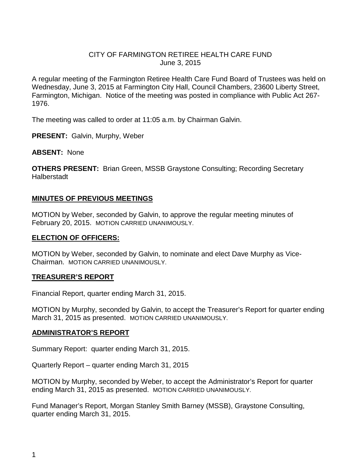## CITY OF FARMINGTON RETIREE HEALTH CARE FUND June 3, 2015

A regular meeting of the Farmington Retiree Health Care Fund Board of Trustees was held on Wednesday, June 3, 2015 at Farmington City Hall, Council Chambers, 23600 Liberty Street, Farmington, Michigan. Notice of the meeting was posted in compliance with Public Act 267- 1976.

The meeting was called to order at 11:05 a.m. by Chairman Galvin.

**PRESENT:** Galvin, Murphy, Weber

**ABSENT:** None

**OTHERS PRESENT:** Brian Green, MSSB Graystone Consulting; Recording Secretary Halberstadt

## **MINUTES OF PREVIOUS MEETINGS**

MOTION by Weber, seconded by Galvin, to approve the regular meeting minutes of February 20, 2015. MOTION CARRIED UNANIMOUSLY.

## **ELECTION OF OFFICERS:**

MOTION by Weber, seconded by Galvin, to nominate and elect Dave Murphy as Vice-Chairman. MOTION CARRIED UNANIMOUSLY.

## **TREASURER'S REPORT**

Financial Report, quarter ending March 31, 2015.

MOTION by Murphy, seconded by Galvin, to accept the Treasurer's Report for quarter ending March 31, 2015 as presented. MOTION CARRIED UNANIMOUSLY.

#### **ADMINISTRATOR'S REPORT**

Summary Report: quarter ending March 31, 2015.

Quarterly Report – quarter ending March 31, 2015

MOTION by Murphy, seconded by Weber, to accept the Administrator's Report for quarter ending March 31, 2015 as presented. MOTION CARRIED UNANIMOUSLY.

Fund Manager's Report, Morgan Stanley Smith Barney (MSSB), Graystone Consulting, quarter ending March 31, 2015.